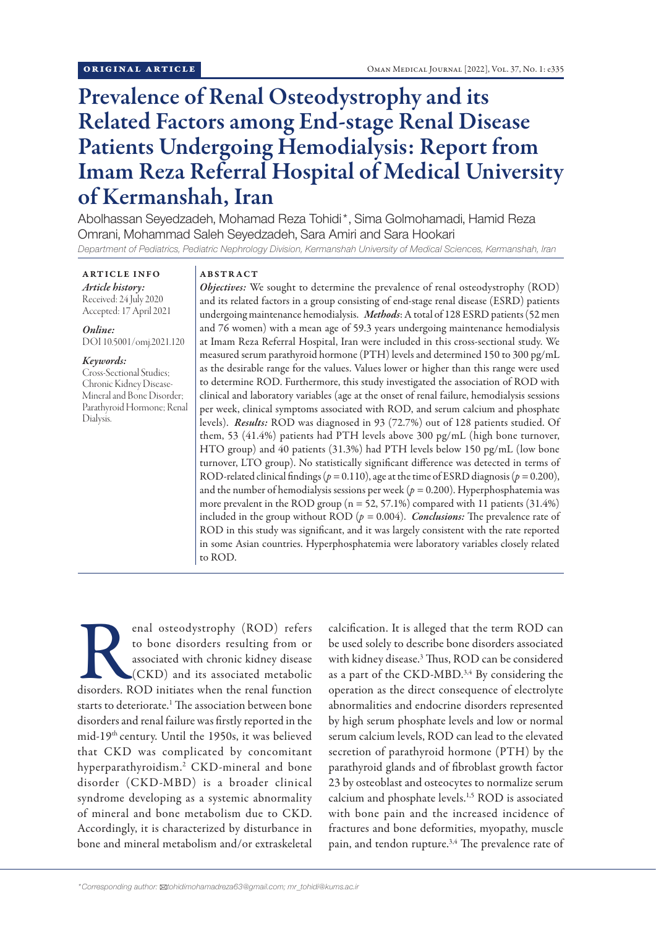# Prevalence of Renal Osteodystrophy and its Related Factors among End-stage Renal Disease Patients Undergoing Hemodialysis: Report from Imam Reza Referral Hospital of Medical University of Kermanshah, Iran

Abolhassan Seyedzadeh, Mohamad Reza Tohidi\*, Sima Golmohamadi, Hamid Reza Omrani, Mohammad Saleh Seyedzadeh, Sara Amiri and Sara Hookari *Department of Pediatrics, Pediatric Nephrology Division, Kermanshah University of Medical Sciences, Kermanshah, Iran*

ARTICLE INFO *Article history:* Received: 24 July 2020 Accepted: 17 April 2021

# *Online:*

DOI 10.5001/omj.2021.120

### *Keywords:*

Cross-Sectional Studies; Chronic Kidney Disease-Mineral and Bone Disorder; Parathyroid Hormone; Renal Dialysis.

### ABSTRACT

*Objectives:* We sought to determine the prevalence of renal osteodystrophy (ROD) and its related factors in a group consisting of end-stage renal disease (ESRD) patients undergoing maintenance hemodialysis. *Methods*: A total of 128 ESRD patients (52 men and 76 women) with a mean age of 59.3 years undergoing maintenance hemodialysis at Imam Reza Referral Hospital, Iran were included in this cross-sectional study. We measured serum parathyroid hormone (PTH) levels and determined 150 to 300 pg/mL as the desirable range for the values. Values lower or higher than this range were used to determine ROD. Furthermore, this study investigated the association of ROD with clinical and laboratory variables (age at the onset of renal failure, hemodialysis sessions per week, clinical symptoms associated with ROD, and serum calcium and phosphate levels). *Results:* ROD was diagnosed in 93 (72.7%) out of 128 patients studied. Of them, 53 (41.4%) patients had PTH levels above 300 pg/mL (high bone turnover, HTO group) and 40 patients (31.3%) had PTH levels below 150 pg/mL (low bone turnover, LTO group). No statistically significant difference was detected in terms of ROD-related clinical findings ( $p = 0.110$ ), age at the time of ESRD diagnosis ( $p = 0.200$ ), and the number of hemodialysis sessions per week (*p =* 0.200). Hyperphosphatemia was more prevalent in the ROD group ( $n = 52, 57.1\%$ ) compared with 11 patients (31.4%) included in the group without ROD ( $p = 0.004$ ). *Conclusions:* The prevalence rate of ROD in this study was significant, and it was largely consistent with the rate reported in some Asian countries. Hyperphosphatemia were laboratory variables closely related to ROD.

enal osteodystrophy (ROD) refers<br>to bone disorders resulting from or<br>associated with chronic kidney disease<br>(CKD) and its associated metabolic<br>disorders. ROD initiates when the renal function to bone disorders resulting from or associated with chronic kidney disease (CKD) and its associated metabolic starts to deteriorate.<sup>1</sup> The association between bone disorders and renal failure was firstly reported in the mid-19th century. Until the 1950s, it was believed that CKD was complicated by concomitant hyperparathyroidism.2 CKD-mineral and bone disorder (CKD-MBD) is a broader clinical syndrome developing as a systemic abnormality of mineral and bone metabolism due to CKD. Accordingly, it is characterized by disturbance in bone and mineral metabolism and/or extraskeletal

calcification. It is alleged that the term ROD can be used solely to describe bone disorders associated with kidney disease.3 Thus, ROD can be considered as a part of the CKD-MBD.<sup>3,4</sup> By considering the operation as the direct consequence of electrolyte abnormalities and endocrine disorders represented by high serum phosphate levels and low or normal serum calcium levels, ROD can lead to the elevated secretion of parathyroid hormone (PTH) by the parathyroid glands and of fibroblast growth factor 23 by osteoblast and osteocytes to normalize serum calcium and phosphate levels.1,5 ROD is associated with bone pain and the increased incidence of fractures and bone deformities, myopathy, muscle pain, and tendon rupture.<sup>3,4</sup> The prevalence rate of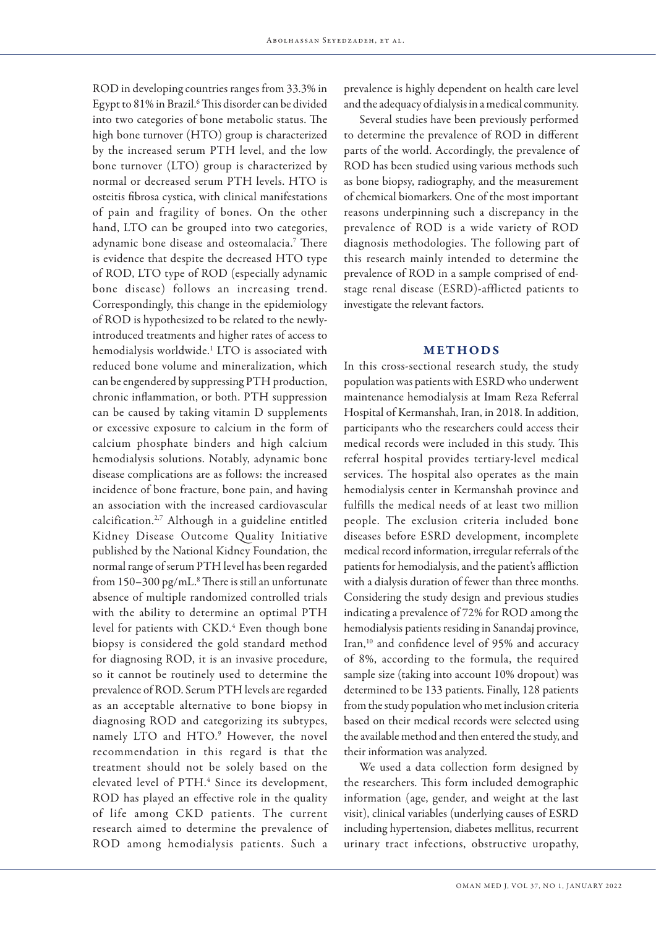ROD in developing countries ranges from 33.3% in Egypt to 81% in Brazil.<sup>6</sup> This disorder can be divided into two categories of bone metabolic status. The high bone turnover (HTO) group is characterized by the increased serum PTH level, and the low bone turnover (LTO) group is characterized by normal or decreased serum PTH levels. HTO is osteitis fibrosa cystica, with clinical manifestations of pain and fragility of bones. On the other hand, LTO can be grouped into two categories, adynamic bone disease and osteomalacia.7 There is evidence that despite the decreased HTO type of ROD, LTO type of ROD (especially adynamic bone disease) follows an increasing trend. Correspondingly, this change in the epidemiology of ROD is hypothesized to be related to the newlyintroduced treatments and higher rates of access to hemodialysis worldwide.1 LTO is associated with reduced bone volume and mineralization, which can be engendered by suppressing PTH production, chronic inflammation, or both. PTH suppression can be caused by taking vitamin D supplements or excessive exposure to calcium in the form of calcium phosphate binders and high calcium hemodialysis solutions. Notably, adynamic bone disease complications are as follows: the increased incidence of bone fracture, bone pain, and having an association with the increased cardiovascular calcification.2,7 Although in a guideline entitled Kidney Disease Outcome Quality Initiative published by the National Kidney Foundation, the normal range of serum PTH level has been regarded from 150–300 pg/mL.8 There is still an unfortunate absence of multiple randomized controlled trials with the ability to determine an optimal PTH level for patients with CKD.<sup>4</sup> Even though bone biopsy is considered the gold standard method for diagnosing ROD, it is an invasive procedure, so it cannot be routinely used to determine the prevalence of ROD. Serum PTH levels are regarded as an acceptable alternative to bone biopsy in diagnosing ROD and categorizing its subtypes, namely LTO and HTO.<sup>9</sup> However, the novel recommendation in this regard is that the treatment should not be solely based on the elevated level of PTH.<sup>4</sup> Since its development, ROD has played an effective role in the quality of life among CKD patients. The current research aimed to determine the prevalence of ROD among hemodialysis patients. Such a

prevalence is highly dependent on health care level and the adequacy of dialysis in a medical community.

Several studies have been previously performed to determine the prevalence of ROD in different parts of the world. Accordingly, the prevalence of ROD has been studied using various methods such as bone biopsy, radiography, and the measurement of chemical biomarkers. One of the most important reasons underpinning such a discrepancy in the prevalence of ROD is a wide variety of ROD diagnosis methodologies. The following part of this research mainly intended to determine the prevalence of ROD in a sample comprised of endstage renal disease (ESRD)-afflicted patients to investigate the relevant factors.

## METHODS

In this cross-sectional research study, the study population was patients with ESRD who underwent maintenance hemodialysis at Imam Reza Referral Hospital of Kermanshah, Iran, in 2018. In addition, participants who the researchers could access their medical records were included in this study. This referral hospital provides tertiary-level medical services. The hospital also operates as the main hemodialysis center in Kermanshah province and fulfills the medical needs of at least two million people. The exclusion criteria included bone diseases before ESRD development, incomplete medical record information, irregular referrals of the patients for hemodialysis, and the patient's affliction with a dialysis duration of fewer than three months. Considering the study design and previous studies indicating a prevalence of 72% for ROD among the hemodialysis patients residing in Sanandaj province, Iran,<sup>10</sup> and confidence level of 95% and accuracy of 8%, according to the formula, the required sample size (taking into account 10% dropout) was determined to be 133 patients. Finally, 128 patients from the study population who met inclusion criteria based on their medical records were selected using the available method and then entered the study, and their information was analyzed.

We used a data collection form designed by the researchers. This form included demographic information (age, gender, and weight at the last visit), clinical variables (underlying causes of ESRD including hypertension, diabetes mellitus, recurrent urinary tract infections, obstructive uropathy,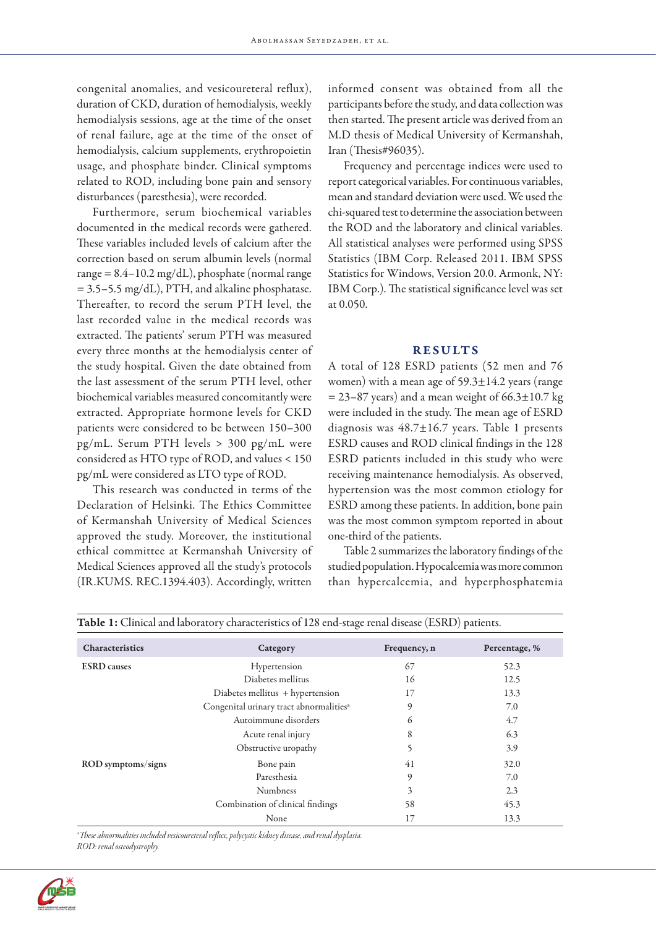congenital anomalies, and vesicoureteral reflux), duration of CKD, duration of hemodialysis, weekly hemodialysis sessions, age at the time of the onset of renal failure, age at the time of the onset of hemodialysis, calcium supplements, erythropoietin usage, and phosphate binder. Clinical symptoms related to ROD, including bone pain and sensory disturbances (paresthesia), were recorded.

Furthermore, serum biochemical variables documented in the medical records were gathered. These variables included levels of calcium after the correction based on serum albumin levels (normal range  $= 8.4 - 10.2$  mg/dL), phosphate (normal range  $= 3.5 - 5.5$  mg/dL), PTH, and alkaline phosphatase. Thereafter, to record the serum PTH level, the last recorded value in the medical records was extracted. The patients' serum PTH was measured every three months at the hemodialysis center of the study hospital. Given the date obtained from the last assessment of the serum PTH level, other biochemical variables measured concomitantly were extracted. Appropriate hormone levels for CKD patients were considered to be between 150–300 pg/mL. Serum PTH levels > 300 pg/mL were considered as HTO type of ROD, and values < 150 pg/mL were considered as LTO type of ROD.

This research was conducted in terms of the Declaration of Helsinki. The Ethics Committee of Kermanshah University of Medical Sciences approved the study. Moreover, the institutional ethical committee at Kermanshah University of Medical Sciences approved all the study's protocols (IR.KUMS. REC.1394.403). Accordingly, written

informed consent was obtained from all the participants before the study, and data collection was then started. The present article was derived from an M.D thesis of Medical University of Kermanshah, Iran (Thesis#96035).

Frequency and percentage indices were used to report categorical variables. For continuous variables, mean and standard deviation were used. We used the chi-squared test to determine the association between the ROD and the laboratory and clinical variables. All statistical analyses were performed using SPSS Statistics (IBM Corp. Released 2011. IBM SPSS Statistics for Windows, Version 20.0. Armonk, NY: IBM Corp.). The statistical significance level was set at 0.050.

### RESULTS

A total of 128 ESRD patients (52 men and 76 women) with a mean age of  $59.3 \pm 14.2$  years (range  $= 23-87$  years) and a mean weight of 66.3 $\pm$ 10.7 kg were included in the study. The mean age of ESRD diagnosis was  $48.7 \pm 16.7$  years. Table 1 presents ESRD causes and ROD clinical findings in the 128 ESRD patients included in this study who were receiving maintenance hemodialysis. As observed, hypertension was the most common etiology for ESRD among these patients. In addition, bone pain was the most common symptom reported in about one-third of the patients.

Table 2 summarizes the laboratory findings of the studied population. Hypocalcemia was more common than hypercalcemia, and hyperphosphatemia

| Characteristics    | Category                                            | Frequency, n | Percentage, % |
|--------------------|-----------------------------------------------------|--------------|---------------|
| <b>ESRD</b> causes | Hypertension                                        | 67           | 52.3          |
|                    | Diabetes mellitus                                   | 16           | 12.5          |
|                    | Diabetes mellitus + hypertension                    | 17           | 13.3          |
|                    | Congenital urinary tract abnormalities <sup>a</sup> | 9            | 7.0           |
|                    | Autoimmune disorders                                | 6            | 4.7           |
|                    | Acute renal injury                                  | 8            | 6.3           |
|                    | Obstructive uropathy                                |              | 3.9           |
| ROD symptoms/signs | Bone pain                                           | 41           | 32.0          |
|                    | Paresthesia                                         | 9            | 7.0           |
|                    | <b>Numbness</b>                                     | 3            | 2.3           |
|                    | Combination of clinical findings                    | 58           | 45.3          |
|                    | None                                                | 17           | 13.3          |

| Table 1: Clinical and laboratory characteristics of 128 end-stage renal disease (ESRD) patients. |  |
|--------------------------------------------------------------------------------------------------|--|
|                                                                                                  |  |

*a These abnormalities included vesicoureteral reflux, polycystic kidney disease, and renal dysplasia. ROD: renal osteodystrophy.*

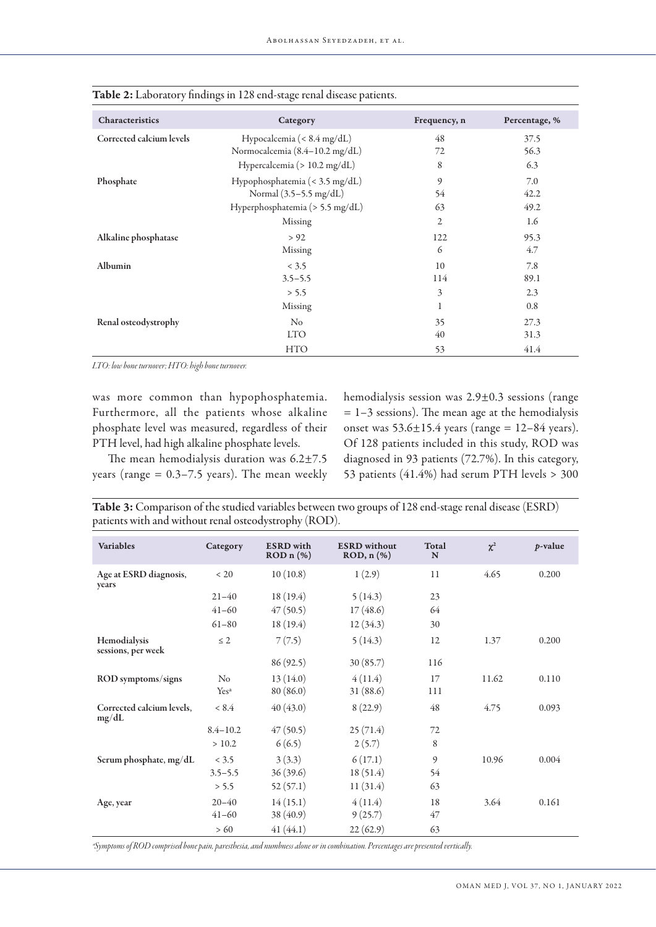| Characteristics          | Category                              | Frequency, n   | Percentage, % |
|--------------------------|---------------------------------------|----------------|---------------|
| Corrected calcium levels | Hypocalcemia (< $8.4 \text{ mg/dL}$ ) | 48             | 37.5          |
|                          | Normocalcemia (8.4-10.2 mg/dL)        | 72             | 56.3          |
|                          | Hypercalcemia (> 10.2 mg/dL)          | 8              | 6.3           |
| Phosphate                | Hypophosphatemia (< 3.5 mg/dL)        | 9              | 7.0           |
|                          | Normal (3.5-5.5 mg/dL)                | 54             | 42.2          |
|                          | Hyperphosphatemia (> 5.5 mg/dL)       | 63             | 49.2          |
|                          | Missing                               | $\overline{2}$ | 1.6           |
| Alkaline phosphatase     | > 92                                  | 122            | 95.3          |
|                          | Missing                               | 6              | 4.7           |
| Albumin                  | < 3.5                                 | 10             | 7.8           |
|                          | $3.5 - 5.5$                           | 114            | 89.1          |
|                          | > 5.5                                 | 3              | 2.3           |
|                          | Missing                               | 1              | 0.8           |
| Renal osteodystrophy     | $\rm No$                              | 35             | 27.3          |
|                          | <b>LTO</b>                            | 40             | 31.3          |
|                          | <b>HTO</b>                            | 53             | 41.4          |

| Table 2: Laboratory findings in 128 end-stage renal disease patients. |  |  |
|-----------------------------------------------------------------------|--|--|
|-----------------------------------------------------------------------|--|--|

*LTO: low bone turnover; HTO: high bone turnover.*

was more common than hypophosphatemia. Furthermore, all the patients whose alkaline phosphate level was measured, regardless of their PTH level, had high alkaline phosphate levels.

The mean hemodialysis duration was 6.2±7.5 years (range  $= 0.3 - 7.5$  years). The mean weekly hemodialysis session was 2.9±0.3 sessions (range  $= 1-3$  sessions). The mean age at the hemodialysis onset was  $53.6 \pm 15.4$  years (range =  $12-84$  years). Of 128 patients included in this study, ROD was diagnosed in 93 patients (72.7%). In this category, 53 patients (41.4%) had serum PTH levels > 300

| Table 3: Comparison of the studied variables between two groups of 128 end-stage renal disease (ESRD) |  |
|-------------------------------------------------------------------------------------------------------|--|
| patients with and without renal osteodystrophy (ROD).                                                 |  |

| <b>Variables</b>                   | Category         | <b>ESRD</b> with<br>$RODn$ (%) | <b>ESRD</b> without<br>$ROD, n$ $(\%)$ | Total<br>N | $\chi^2$ | <i>p</i> -value |
|------------------------------------|------------------|--------------------------------|----------------------------------------|------------|----------|-----------------|
| Age at ESRD diagnosis,<br>years    | < 20             | 10(10.8)                       | 1(2.9)                                 | 11         | 4.65     | 0.200           |
|                                    | $21 - 40$        | 18(19.4)                       | 5(14.3)                                | 23         |          |                 |
|                                    | $41 - 60$        | 47(50.5)                       | 17(48.6)                               | 64         |          |                 |
|                                    | $61 - 80$        | 18 (19.4)                      | 12(34.3)                               | 30         |          |                 |
| Hemodialysis<br>sessions, per week | $\leq$ 2         | 7(7.5)                         | 5(14.3)                                | 12         | 1.37     | 0.200           |
|                                    |                  | 86 (92.5)                      | 30(85.7)                               | 116        |          |                 |
| ROD symptoms/signs                 | $\rm No$         | 13(14.0)                       | 4(11.4)                                | 17         | 11.62    | 0.110           |
|                                    | Yes <sup>a</sup> | 80 (86.0)                      | 31 (88.6)                              | 111        |          |                 |
| Corrected calcium levels,<br>mg/dL | < 8.4            | 40(43.0)                       | 8(22.9)                                | 48         | 4.75     | 0.093           |
|                                    | $8.4 - 10.2$     | 47(50.5)                       | 25(71.4)                               | 72         |          |                 |
|                                    | > 10.2           | 6(6.5)                         | 2(5.7)                                 | 8          |          |                 |
| Serum phosphate, mg/dL             | < 3.5            | 3(3.3)                         | 6(17.1)                                | 9          | 10.96    | 0.004           |
|                                    | $3.5 - 5.5$      | 36(39.6)                       | 18(51.4)                               | 54         |          |                 |
|                                    | > 5.5            | 52(57.1)                       | 11(31.4)                               | 63         |          |                 |
| Age, year                          | $20 - 40$        | 14(15.1)                       | 4(11.4)                                | 18         | 3.64     | 0.161           |
|                                    | $41 - 60$        | 38 (40.9)                      | 9(25.7)                                | 47         |          |                 |
|                                    | >60              | 41(44.1)                       | 22(62.9)                               | 63         |          |                 |

*ªSymptoms of ROD comprised bone pain, paresthesia, and numbness alone or in combination. Percentages are presented vertically.*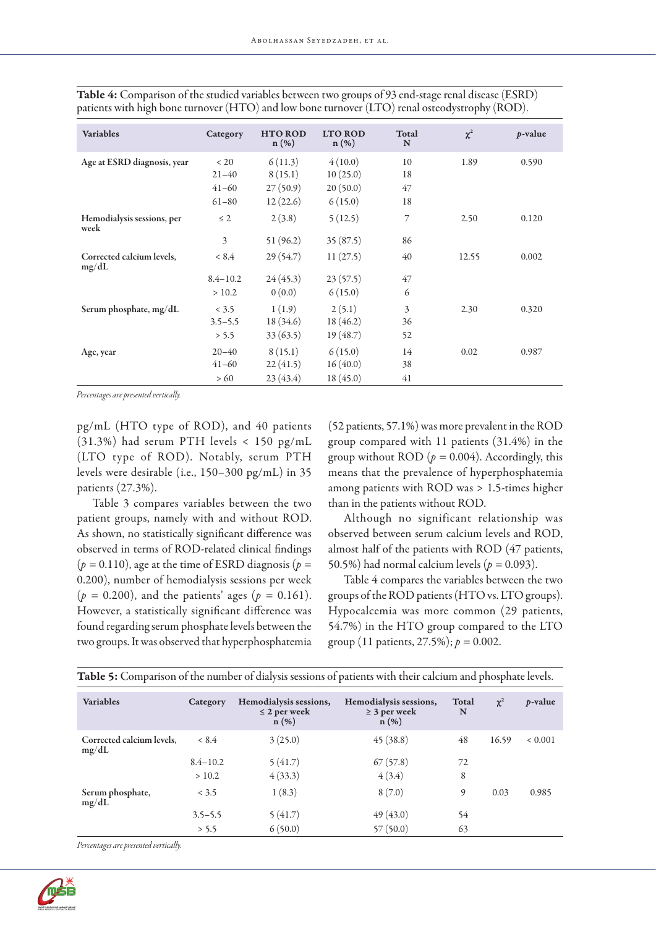| <b>Variables</b>                   | Category     | <b>HTO ROD</b><br>$n(\%)$ | <b>LTO ROD</b><br>$n(\%)$ | Total<br>N | $\chi^2$ | <i>p</i> -value |
|------------------------------------|--------------|---------------------------|---------------------------|------------|----------|-----------------|
| Age at ESRD diagnosis, year        | < 20         | 6(11.3)                   | 4(10.0)                   | 10         | 1.89     | 0.590           |
|                                    | $21 - 40$    | 8(15.1)                   | 10(25.0)                  | 18         |          |                 |
|                                    | $41 - 60$    | 27(50.9)                  | 20(50.0)                  | 47         |          |                 |
|                                    | $61 - 80$    | 12(22.6)                  | 6(15.0)                   | 18         |          |                 |
| Hemodialysis sessions, per<br>week | $\leq$ 2     | 2(3.8)                    | 5(12.5)                   | 7          | 2.50     | 0.120           |
|                                    | 3            | 51(96.2)                  | 35(87.5)                  | 86         |          |                 |
| Corrected calcium levels,<br>mg/dL | < 8.4        | 29(54.7)                  | 11(27.5)                  | 40         | 12.55    | 0.002           |
|                                    | $8.4 - 10.2$ | 24(45.3)                  | 23(57.5)                  | 47         |          |                 |
|                                    | > 10.2       | 0(0.0)                    | 6(15.0)                   | 6          |          |                 |
| Serum phosphate, mg/dL             | < 3.5        | 1(1.9)                    | 2(5.1)                    | 3          | 2.30     | 0.320           |
|                                    | $3.5 - 5.5$  | 18 (34.6)                 | 18(46.2)                  | 36         |          |                 |
|                                    | > 5.5        | 33(63.5)                  | 19(48.7)                  | 52         |          |                 |
| Age, year                          | $20 - 40$    | 8(15.1)                   | 6(15.0)                   | 14         | 0.02     | 0.987           |
|                                    | $41 - 60$    | 22(41.5)                  | 16(40.0)                  | 38         |          |                 |
|                                    | >60          | 23(43.4)                  | 18(45.0)                  | 41         |          |                 |

Table 4: Comparison of the studied variables between two groups of 93 end-stage renal disease (ESRD) patients with high bone turnover (HTO) and low bone turnover (LTO) renal osteodystrophy (ROD).

*Percentages are presented vertically.*

pg/mL (HTO type of ROD), and 40 patients (31.3%) had serum PTH levels < 150 pg/mL (LTO type of ROD). Notably, serum PTH levels were desirable (i.e., 150–300 pg/mL) in 35 patients (27.3%).

Table 3 compares variables between the two patient groups, namely with and without ROD. As shown, no statistically significant difference was observed in terms of ROD-related clinical findings  $(p = 0.110)$ , age at the time of ESRD diagnosis  $(p = 1.110)$ 0.200), number of hemodialysis sessions per week  $(p = 0.200)$ , and the patients' ages  $(p = 0.161)$ . However, a statistically significant difference was found regarding serum phosphate levels between the two groups. It was observed that hyperphosphatemia (52 patients, 57.1%) was more prevalent in the ROD group compared with 11 patients (31.4%) in the group without ROD ( $p = 0.004$ ). Accordingly, this means that the prevalence of hyperphosphatemia among patients with ROD was > 1.5-times higher than in the patients without ROD.

Although no significant relationship was observed between serum calcium levels and ROD, almost half of the patients with ROD (47 patients, 50.5%) had normal calcium levels (*p =* 0.093).

Table 4 compares the variables between the two groups of the ROD patients (HTO vs. LTO groups). Hypocalcemia was more common (29 patients, 54.7%) in the HTO group compared to the LTO group (11 patients, 27.5%); *p =* 0.002.

| <b>Variables</b>                   | Category     | Hemodialysis sessions,<br>$\leq$ 2 per week<br>$n(\%)$ | Hemodialysis sessions,<br>$\geq$ 3 per week<br>$n(\%)$ | Total<br>N | $\chi^2$ | <i>p</i> -value |
|------------------------------------|--------------|--------------------------------------------------------|--------------------------------------------------------|------------|----------|-----------------|
| Corrected calcium levels,<br>mg/dL | < 8.4        | 3(25.0)                                                | 45(38.8)                                               | 48         | 16.59    | ${}< 0.001$     |
|                                    | $8.4 - 10.2$ | 5(41.7)                                                | 67(57.8)                                               | 72         |          |                 |
|                                    | > 10.2       | 4(33.3)                                                | 4(3.4)                                                 | 8          |          |                 |
| Serum phosphate,<br>mg/dL          | < 3.5        | 1(8.3)                                                 | 8(7.0)                                                 | 9          | 0.03     | 0.985           |
|                                    | $3.5 - 5.5$  | 5(41.7)                                                | 49(43.0)                                               | 54         |          |                 |
|                                    | > 5.5        | 6(50.0)                                                | 57(50.0)                                               | 63         |          |                 |

Table 5: Comparison of the number of dialysis sessions of patients with their calcium and phosphate levels.

*Percentages are presented vertically.*

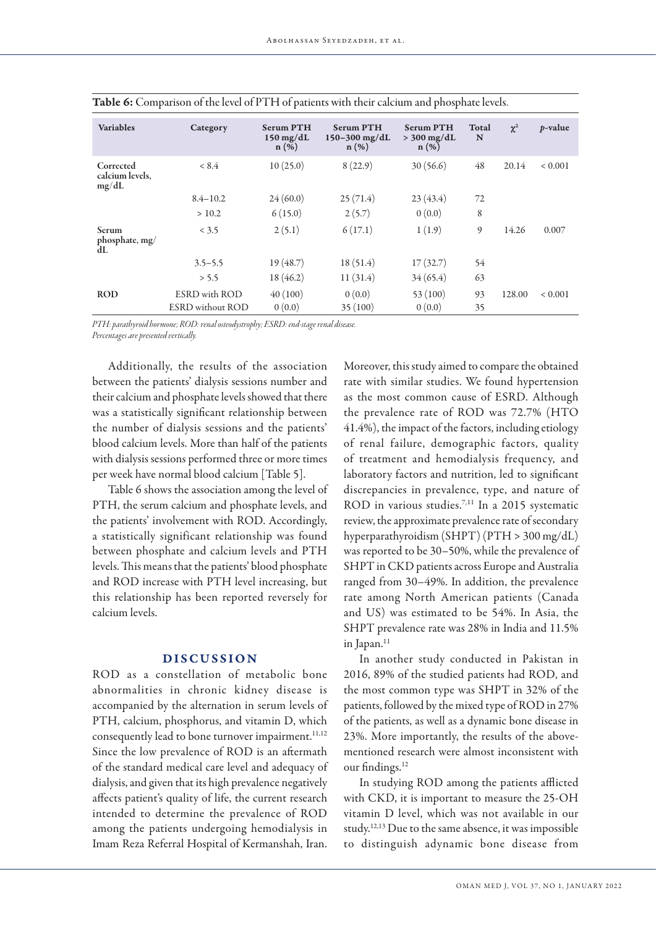| <b>Variables</b>                      | Category                                        | <b>Serum PTH</b><br>$150 \text{ mg/dL}$<br>$n(\%)$ | <b>Serum PTH</b><br>$150 - 300$ mg/dL<br>$n(\%)$ | <b>Serum PTH</b><br>$>$ 300 mg/dL<br>$n(\%)$ | Total<br>N | $\chi^2$ | <i>p</i> -value |
|---------------------------------------|-------------------------------------------------|----------------------------------------------------|--------------------------------------------------|----------------------------------------------|------------|----------|-----------------|
| Corrected<br>calcium levels,<br>mg/dL | < 8.4                                           | 10(25.0)                                           | 8(22.9)                                          | 30(56.6)                                     | 48         | 20.14    | ${}< 0.001$     |
|                                       | $8.4 - 10.2$                                    | 24(60.0)                                           | 25(71.4)                                         | 23(43.4)                                     | 72         |          |                 |
|                                       | > 10.2                                          | 6(15.0)                                            | 2(5.7)                                           | 0(0.0)                                       | 8          |          |                 |
| <b>Serum</b><br>phosphate, mg/<br>dL  | < 3.5                                           | 2(5.1)                                             | 6(17.1)                                          | 1(1.9)                                       | 9          | 14.26    | 0.007           |
|                                       | $3.5 - 5.5$                                     | 19(48.7)                                           | 18(51.4)                                         | 17(32.7)                                     | 54         |          |                 |
|                                       | > 5.5                                           | 18(46.2)                                           | 11(31.4)                                         | 34(65.4)                                     | 63         |          |                 |
| <b>ROD</b>                            | <b>ESRD</b> with ROD<br><b>ESRD</b> without ROD | 40(100)<br>0(0.0)                                  | 0(0.0)<br>35(100)                                | 53(100)<br>0(0.0)                            | 93<br>35   | 128.00   | ${}< 0.001$     |

| <b>Table 6:</b> Comparison of the level of PTH of patients with their calcium and phosphate levels. |  |  |
|-----------------------------------------------------------------------------------------------------|--|--|
|-----------------------------------------------------------------------------------------------------|--|--|

*PTH: parathyroid hormone; ROD: renal osteodystrophy; ESRD: end-stage renal disease.* 

*Percentages are presented vertically.*

Additionally, the results of the association between the patients' dialysis sessions number and their calcium and phosphate levels showed that there was a statistically significant relationship between the number of dialysis sessions and the patients' blood calcium levels. More than half of the patients with dialysis sessions performed three or more times per week have normal blood calcium [Table 5].

Table 6 shows the association among the level of PTH, the serum calcium and phosphate levels, and the patients' involvement with ROD. Accordingly, a statistically significant relationship was found between phosphate and calcium levels and PTH levels. This means that the patients' blood phosphate and ROD increase with PTH level increasing, but this relationship has been reported reversely for calcium levels.

## DISCUSSION

ROD as a constellation of metabolic bone abnormalities in chronic kidney disease is accompanied by the alternation in serum levels of PTH, calcium, phosphorus, and vitamin D, which consequently lead to bone turnover impairment.<sup>11,12</sup> Since the low prevalence of ROD is an aftermath of the standard medical care level and adequacy of dialysis, and given that its high prevalence negatively affects patient's quality of life, the current research intended to determine the prevalence of ROD among the patients undergoing hemodialysis in Imam Reza Referral Hospital of Kermanshah, Iran.

Moreover, this study aimed to compare the obtained rate with similar studies. We found hypertension as the most common cause of ESRD. Although the prevalence rate of ROD was 72.7% (HTO 41.4%), the impact of the factors, including etiology of renal failure, demographic factors, quality of treatment and hemodialysis frequency, and laboratory factors and nutrition, led to significant discrepancies in prevalence, type, and nature of ROD in various studies.<sup>7,11</sup> In a 2015 systematic review, the approximate prevalence rate of secondary hyperparathyroidism (SHPT) (PTH > 300 mg/dL) was reported to be 30–50%, while the prevalence of SHPT in CKD patients across Europe and Australia ranged from 30–49%. In addition, the prevalence rate among North American patients (Canada and US) was estimated to be 54%. In Asia, the SHPT prevalence rate was 28% in India and 11.5% in Japan.<sup>11</sup>

In another study conducted in Pakistan in 2016, 89% of the studied patients had ROD, and the most common type was SHPT in 32% of the patients, followed by the mixed type of ROD in 27% of the patients, as well as a dynamic bone disease in 23%. More importantly, the results of the abovementioned research were almost inconsistent with our findings.12

In studying ROD among the patients afflicted with CKD, it is important to measure the 25-OH vitamin D level, which was not available in our study.12,13 Due to the same absence, it was impossible to distinguish adynamic bone disease from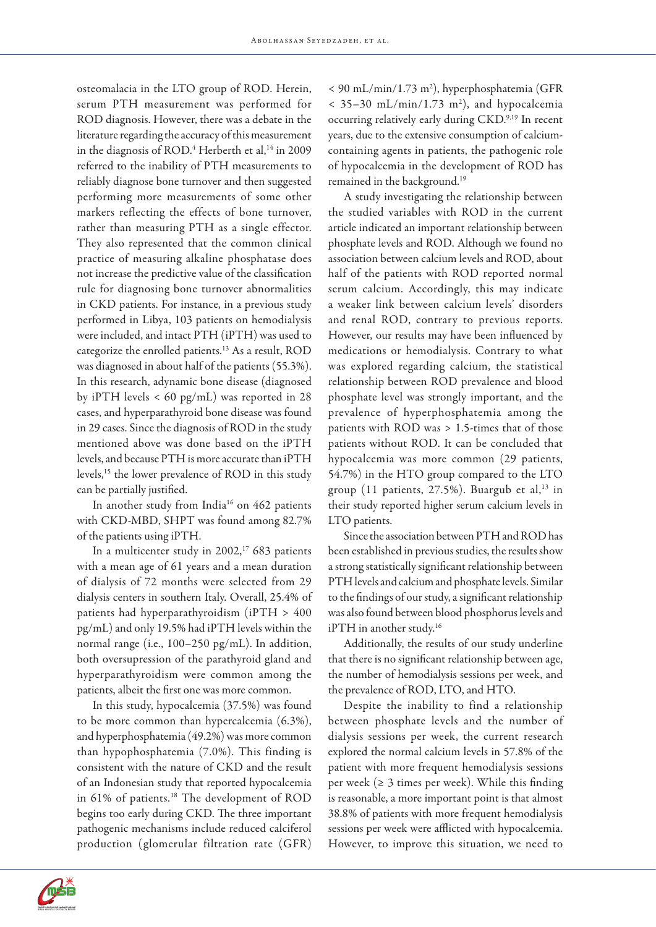osteomalacia in the LTO group of ROD. Herein, serum PTH measurement was performed for ROD diagnosis. However, there was a debate in the literature regarding the accuracy of this measurement in the diagnosis of ROD.<sup>4</sup> Herberth et al,<sup>14</sup> in 2009 referred to the inability of PTH measurements to reliably diagnose bone turnover and then suggested performing more measurements of some other markers reflecting the effects of bone turnover, rather than measuring PTH as a single effector. They also represented that the common clinical practice of measuring alkaline phosphatase does not increase the predictive value of the classification rule for diagnosing bone turnover abnormalities in CKD patients. For instance, in a previous study performed in Libya, 103 patients on hemodialysis were included, and intact PTH (iPTH) was used to categorize the enrolled patients.13 As a result, ROD was diagnosed in about half of the patients (55.3%). In this research, adynamic bone disease (diagnosed by iPTH levels < 60 pg/mL) was reported in 28 cases, and hyperparathyroid bone disease was found in 29 cases. Since the diagnosis of ROD in the study mentioned above was done based on the iPTH levels, and because PTH is more accurate than iPTH levels,15 the lower prevalence of ROD in this study can be partially justified.

In another study from India<sup>16</sup> on 462 patients with CKD-MBD, SHPT was found among 82.7% of the patients using iPTH.

In a multicenter study in  $2002$ ,<sup>17</sup> 683 patients with a mean age of 61 years and a mean duration of dialysis of 72 months were selected from 29 dialysis centers in southern Italy. Overall, 25.4% of patients had hyperparathyroidism (iPTH > 400 pg/mL) and only 19.5% had iPTH levels within the normal range (i.e., 100–250 pg/mL). In addition, both oversupression of the parathyroid gland and hyperparathyroidism were common among the patients, albeit the first one was more common.

In this study, hypocalcemia (37.5%) was found to be more common than hypercalcemia (6.3%), and hyperphosphatemia (49.2%) was more common than hypophosphatemia (7.0%). This finding is consistent with the nature of CKD and the result of an Indonesian study that reported hypocalcemia in 61% of patients.18 The development of ROD begins too early during CKD. The three important pathogenic mechanisms include reduced calciferol production (glomerular filtration rate (GFR) < 90 mL/min/1.73 m2 ), hyperphosphatemia (GFR  $<$  35–30 mL/min/1.73 m<sup>2</sup>), and hypocalcemia occurring relatively early during CKD.<sup>9,19</sup> In recent years, due to the extensive consumption of calciumcontaining agents in patients, the pathogenic role of hypocalcemia in the development of ROD has remained in the background.19

A study investigating the relationship between the studied variables with ROD in the current article indicated an important relationship between phosphate levels and ROD. Although we found no association between calcium levels and ROD, about half of the patients with ROD reported normal serum calcium. Accordingly, this may indicate a weaker link between calcium levels' disorders and renal ROD, contrary to previous reports. However, our results may have been influenced by medications or hemodialysis. Contrary to what was explored regarding calcium, the statistical relationship between ROD prevalence and blood phosphate level was strongly important, and the prevalence of hyperphosphatemia among the patients with ROD was > 1.5-times that of those patients without ROD. It can be concluded that hypocalcemia was more common (29 patients, 54.7%) in the HTO group compared to the LTO group  $(11$  patients,  $27.5\%$ ). Buargub et al,<sup>13</sup> in their study reported higher serum calcium levels in LTO patients.

Since the association between PTH and ROD has been established in previous studies, the results show a strong statistically significant relationship between PTH levels and calcium and phosphate levels. Similar to the findings of our study, a significant relationship was also found between blood phosphorus levels and iPTH in another study.<sup>16</sup>

Additionally, the results of our study underline that there is no significant relationship between age, the number of hemodialysis sessions per week, and the prevalence of ROD, LTO, and HTO.

Despite the inability to find a relationship between phosphate levels and the number of dialysis sessions per week, the current research explored the normal calcium levels in 57.8% of the patient with more frequent hemodialysis sessions per week ( $\geq$  3 times per week). While this finding is reasonable, a more important point is that almost 38.8% of patients with more frequent hemodialysis sessions per week were afflicted with hypocalcemia. However, to improve this situation, we need to

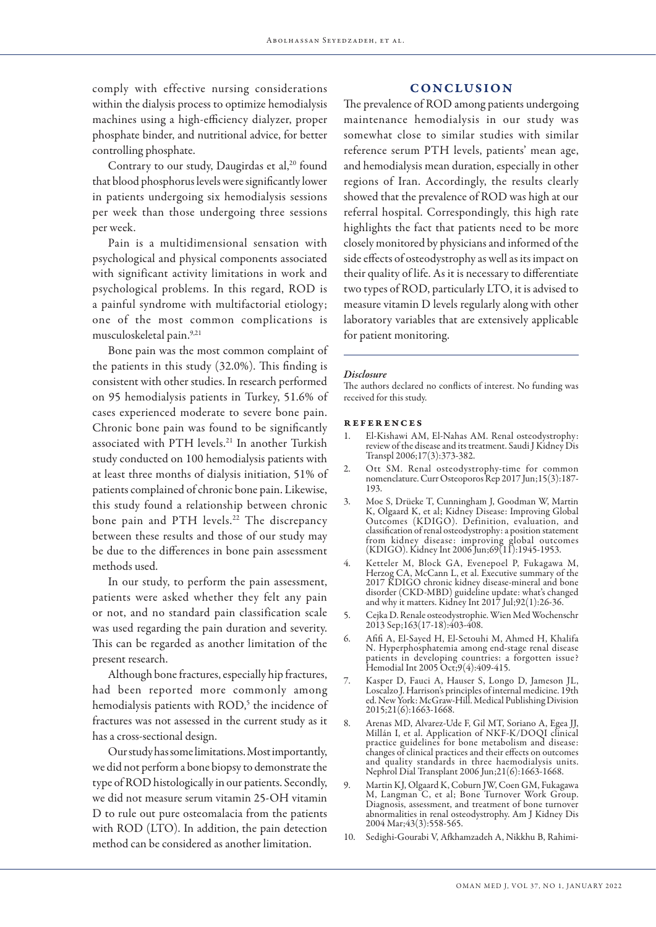comply with effective nursing considerations within the dialysis process to optimize hemodialysis machines using a high-efficiency dialyzer, proper phosphate binder, and nutritional advice, for better controlling phosphate.

Contrary to our study, Daugirdas et al,<sup>20</sup> found that blood phosphorus levels were significantly lower in patients undergoing six hemodialysis sessions per week than those undergoing three sessions per week.

Pain is a multidimensional sensation with psychological and physical components associated with significant activity limitations in work and psychological problems. In this regard, ROD is a painful syndrome with multifactorial etiology; one of the most common complications is musculoskeletal pain.9,21

Bone pain was the most common complaint of the patients in this study (32.0%). This finding is consistent with other studies. In research performed on 95 hemodialysis patients in Turkey, 51.6% of cases experienced moderate to severe bone pain. Chronic bone pain was found to be significantly associated with PTH levels.<sup>21</sup> In another Turkish study conducted on 100 hemodialysis patients with at least three months of dialysis initiation, 51% of patients complained of chronic bone pain. Likewise, this study found a relationship between chronic bone pain and PTH levels.<sup>22</sup> The discrepancy between these results and those of our study may be due to the differences in bone pain assessment methods used.

In our study, to perform the pain assessment, patients were asked whether they felt any pain or not, and no standard pain classification scale was used regarding the pain duration and severity. This can be regarded as another limitation of the present research.

Although bone fractures, especially hip fractures, had been reported more commonly among hemodialysis patients with ROD,<sup>5</sup> the incidence of fractures was not assessed in the current study as it has a cross-sectional design.

Our study has some limitations. Most importantly, we did not perform a bone biopsy to demonstrate the type of ROD histologically in our patients. Secondly, we did not measure serum vitamin 25-OH vitamin D to rule out pure osteomalacia from the patients with ROD (LTO). In addition, the pain detection method can be considered as another limitation.

# CONCLUSION

The prevalence of ROD among patients undergoing maintenance hemodialysis in our study was somewhat close to similar studies with similar reference serum PTH levels, patients' mean age, and hemodialysis mean duration, especially in other regions of Iran. Accordingly, the results clearly showed that the prevalence of ROD was high at our referral hospital. Correspondingly, this high rate highlights the fact that patients need to be more closely monitored by physicians and informed of the side effects of osteodystrophy as well as its impact on their quality of life. As it is necessary to differentiate two types of ROD, particularly LTO, it is advised to measure vitamin D levels regularly along with other laboratory variables that are extensively applicable for patient monitoring.

#### *Disclosure*

The authors declared no conflicts of interest. No funding was received for this study.

#### references

- 1. El-Kishawi AM, El-Nahas AM. Renal osteodystrophy: review of the disease and its treatment. Saudi J Kidney Dis Transpl 2006;17(3):373-382.
- 2. Ott SM. Renal osteodystrophy-time for common nomenclature. Curr Osteoporos Rep 2017 Jun;15(3):187- 193.
- 3. Moe S, Drüeke T, Cunningham J, Goodman W, Martin K, Olgaard K, et al; Kidney Disease: Improving Global Outcomes (KDIGO). Definition, evaluation, and classification of renal osteodystrophy: a position statement from kidney disease: improving global outcomes (KDIGO). Kidney Int 2006 Jun;69(11):1945-1953.
- 4. Ketteler M, Block GA, Evenepoel P, Fukagawa M, Herzog CA, McCann L, et al. Executive summary of the 2017 KDIGO chronic kidney disease-mineral and bone disorder (CKD-MBD) guideline update: what's changed and why it matters. Kidney Int 2017 Jul;92(1):26-36.
- 5. Cejka D. Renale osteodystrophie. Wien Med Wochenschr 2013 Sep;163(17-18):403-408.
- 6. Afifi A, El-Sayed H, El-Setouhi M, Ahmed H, Khalifa N. Hyperphosphatemia among end-stage renal disease patients in developing countries: a forgotten issue? Hemodial Int 2005 Oct;9(4):409-415.
- 7. Kasper D, Fauci A, Hauser S, Longo D, Jameson JL, Loscalzo J. Harrison's principles of internal medicine. 19th ed. New York: McGraw-Hill. Medical Publishing Division 2015;21(6):1663-1668.
- 8. Arenas MD, Alvarez-Ude F, Gil MT, Soriano A, Egea JJ, Millán I, et al. Application of NKF-K/DOQI clinical practice guidelines for bone metabolism and disease: changes of clinical practices and their effects on outcomes and quality standards in three haemodialysis units. Nephrol Dial Transplant 2006 Jun;21(6):1663-1668.
- 9. Martin KJ, Olgaard K, Coburn JW, Coen GM, Fukagawa M, Langman C, et al; Bone Turnover Work Group. Diagnosis, assessment, and treatment of bone turnover abnormalities in renal osteodystrophy. Am J Kidney Dis 2004 Mar;43(3):558-565.
- 10. Sedighi-Gourabi V, Afkhamzadeh A, Nikkhu B, Rahimi-